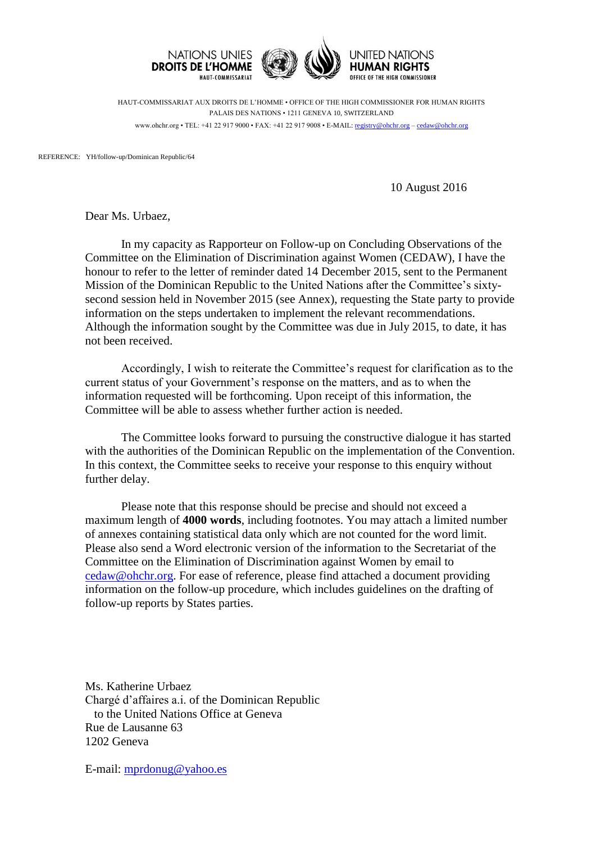

HAUT-COMMISSARIAT AUX DROITS DE L'HOMME • OFFICE OF THE HIGH COMMISSIONER FOR HUMAN RIGHTS PALAIS DES NATIONS • 1211 GENEVA 10, SWITZERLAND www.ohchr.org • TEL: +41 22 917 9000 • FAX: +41 22 917 9008 • E-MAIL: [registry@ohchr.org](mailto:registry@ohchr.org) – [cedaw@ohchr.org](mailto:cedaw@ohchr.org)

REFERENCE: YH/follow-up/Dominican Republic/64

10 August 2016

Dear Ms. Urbaez,

In my capacity as Rapporteur on Follow-up on Concluding Observations of the Committee on the Elimination of Discrimination against Women (CEDAW), I have the honour to refer to the letter of reminder dated 14 December 2015, sent to the Permanent Mission of the Dominican Republic to the United Nations after the Committee's sixtysecond session held in November 2015 (see Annex), requesting the State party to provide information on the steps undertaken to implement the relevant recommendations. Although the information sought by the Committee was due in July 2015, to date, it has not been received.

Accordingly, I wish to reiterate the Committee's request for clarification as to the current status of your Government's response on the matters, and as to when the information requested will be forthcoming. Upon receipt of this information, the Committee will be able to assess whether further action is needed.

The Committee looks forward to pursuing the constructive dialogue it has started with the authorities of the Dominican Republic on the implementation of the Convention. In this context, the Committee seeks to receive your response to this enquiry without further delay.

Please note that this response should be precise and should not exceed a maximum length of **4000 words**, including footnotes. You may attach a limited number of annexes containing statistical data only which are not counted for the word limit. Please also send a Word electronic version of the information to the Secretariat of the Committee on the Elimination of Discrimination against Women by email to [cedaw@ohchr.org.](mailto:cedaw@ohchr.org) For ease of reference, please find attached a document providing information on the follow-up procedure, which includes guidelines on the drafting of follow-up reports by States parties.

Ms. Katherine Urbaez Chargé d'affaires a.i. of the Dominican Republic to the United Nations Office at Geneva Rue de Lausanne 63 1202 Geneva

E-mail: [mprdonug@yahoo.es](mailto:mprdonug@yahoo.es)